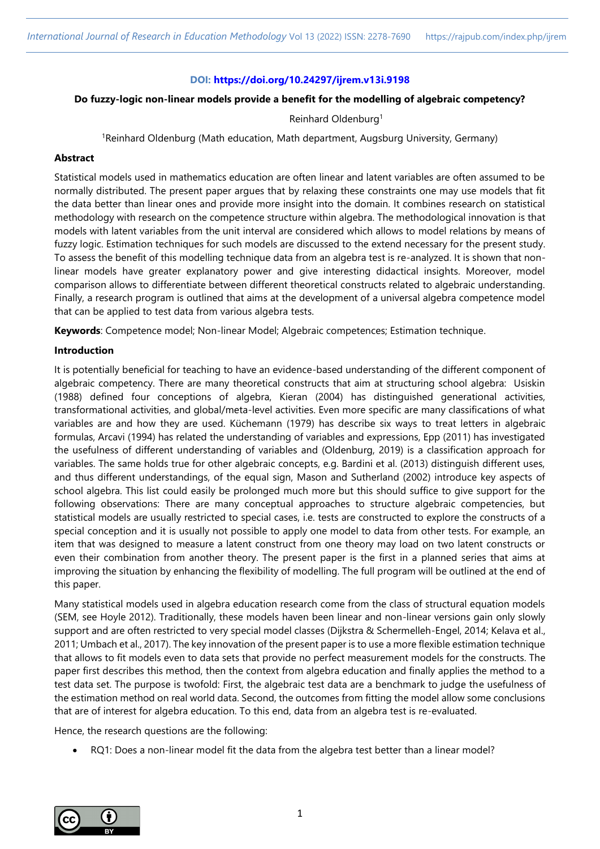## **DOI: <https://doi.org/10.24297/ijrem.v13i.9198>**

## **Do fuzzy-logic non-linear models provide a benefit for the modelling of algebraic competency?**

### Reinhard Oldenburg<sup>1</sup>

<sup>1</sup>Reinhard Oldenburg (Math education, Math department, Augsburg University, Germany)

# **Abstract**

Statistical models used in mathematics education are often linear and latent variables are often assumed to be normally distributed. The present paper argues that by relaxing these constraints one may use models that fit the data better than linear ones and provide more insight into the domain. It combines research on statistical methodology with research on the competence structure within algebra. The methodological innovation is that models with latent variables from the unit interval are considered which allows to model relations by means of fuzzy logic. Estimation techniques for such models are discussed to the extend necessary for the present study. To assess the benefit of this modelling technique data from an algebra test is re-analyzed. It is shown that nonlinear models have greater explanatory power and give interesting didactical insights. Moreover, model comparison allows to differentiate between different theoretical constructs related to algebraic understanding. Finally, a research program is outlined that aims at the development of a universal algebra competence model that can be applied to test data from various algebra tests.

**Keywords**: Competence model; Non-linear Model; Algebraic competences; Estimation technique.

# **Introduction**

It is potentially beneficial for teaching to have an evidence-based understanding of the different component of algebraic competency. There are many theoretical constructs that aim at structuring school algebra: Usiskin (1988) defined four conceptions of algebra, Kieran (2004) has distinguished generational activities, transformational activities, and global/meta-level activities. Even more specific are many classifications of what variables are and how they are used. Küchemann (1979) has describe six ways to treat letters in algebraic formulas, Arcavi (1994) has related the understanding of variables and expressions, Epp (2011) has investigated the usefulness of different understanding of variables and (Oldenburg, 2019) is a classification approach for variables. The same holds true for other algebraic concepts, e.g. Bardini et al. (2013) distinguish different uses, and thus different understandings, of the equal sign, Mason and Sutherland (2002) introduce key aspects of school algebra. This list could easily be prolonged much more but this should suffice to give support for the following observations: There are many conceptual approaches to structure algebraic competencies, but statistical models are usually restricted to special cases, i.e. tests are constructed to explore the constructs of a special conception and it is usually not possible to apply one model to data from other tests. For example, an item that was designed to measure a latent construct from one theory may load on two latent constructs or even their combination from another theory. The present paper is the first in a planned series that aims at improving the situation by enhancing the flexibility of modelling. The full program will be outlined at the end of this paper.

Many statistical models used in algebra education research come from the class of structural equation models (SEM, see Hoyle 2012). Traditionally, these models haven been linear and non-linear versions gain only slowly support and are often restricted to very special model classes (Dijkstra & Schermelleh-Engel, 2014; Kelava et al., 2011; Umbach et al., 2017). The key innovation of the present paper is to use a more flexible estimation technique that allows to fit models even to data sets that provide no perfect measurement models for the constructs. The paper first describes this method, then the context from algebra education and finally applies the method to a test data set. The purpose is twofold: First, the algebraic test data are a benchmark to judge the usefulness of the estimation method on real world data. Second, the outcomes from fitting the model allow some conclusions that are of interest for algebra education. To this end, data from an algebra test is re-evaluated.

Hence, the research questions are the following:

RQ1: Does a non-linear model fit the data from the algebra test better than a linear model?

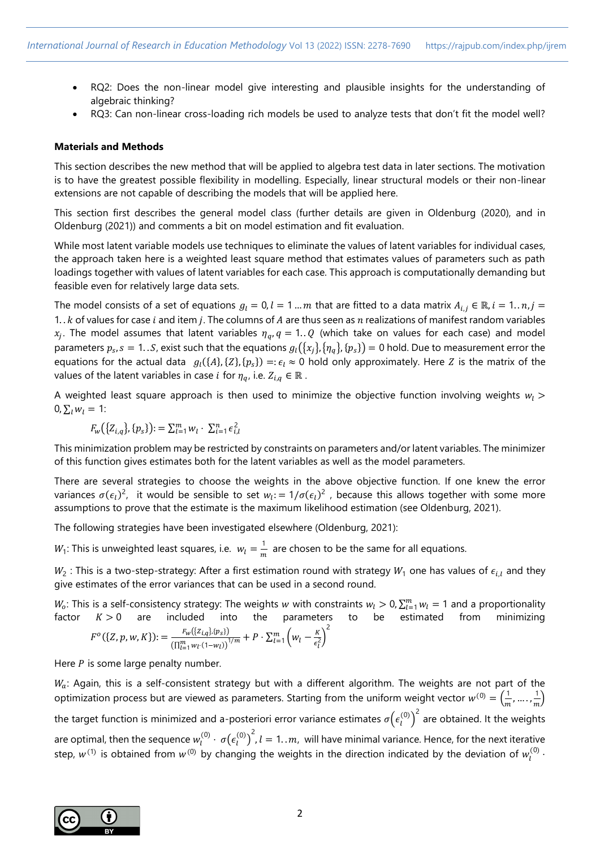- RQ2: Does the non-linear model give interesting and plausible insights for the understanding of algebraic thinking?
- RQ3: Can non-linear cross-loading rich models be used to analyze tests that don't fit the model well?

### **Materials and Methods**

This section describes the new method that will be applied to algebra test data in later sections. The motivation is to have the greatest possible flexibility in modelling. Especially, linear structural models or their non-linear extensions are not capable of describing the models that will be applied here.

This section first describes the general model class (further details are given in Oldenburg (2020), and in Oldenburg (2021)) and comments a bit on model estimation and fit evaluation.

While most latent variable models use techniques to eliminate the values of latent variables for individual cases, the approach taken here is a weighted least square method that estimates values of parameters such as path loadings together with values of latent variables for each case. This approach is computationally demanding but feasible even for relatively large data sets.

The model consists of a set of equations  $g_l = 0, l = 1 ... m$  that are fitted to a data matrix  $A_{i,j} \in \mathbb{R}$ ,  $i = 1...n$ ,  $j =$ 1.  $k$  of values for case i and item j. The columns of A are thus seen as  $n$  realizations of manifest random variables  $x_j$ . The model assumes that latent variables  $\eta_q$ ,  $q = 1..Q$  (which take on values for each case) and model parameters  $p_s$ ,  $s = 1...S$ , exist such that the equations  $g_l(\{x_j\}, \{\eta_q\}, \{p_s\}) = 0$  hold. Due to measurement error the equations for the actual data  $g_l(\{A\},\{Z\},\{p_s\}) =: \epsilon_l \approx 0$  hold only approximately. Here Z is the matrix of the values of the latent variables in case *i* for  $\eta_q$ , i.e.  $Z_{i,q} \in \mathbb{R}$ .

A weighted least square approach is then used to minimize the objective function involving weights  $w_l$  >  $0, \sum_{i} w_i = 1$ :

 $F_w({Z_{i,q}}), {\{p_s\}}): = \sum_{l=1}^m w_l \cdot \sum_{i=1}^n \epsilon_{i,l}^2$ 

This minimization problem may be restricted by constraints on parameters and/or latent variables. The minimizer of this function gives estimates both for the latent variables as well as the model parameters.

There are several strategies to choose the weights in the above objective function. If one knew the error variances  $\sigma(\epsilon_l)^2$ , it would be sensible to set  $w_l := 1/\sigma(\epsilon_l)^2$ , because this allows together with some more assumptions to prove that the estimate is the maximum likelihood estimation (see Oldenburg, 2021).

The following strategies have been investigated elsewhere (Oldenburg, 2021):

 $W_1$ : This is unweighted least squares, i.e.  $w_l = \frac{1}{r}$  $\frac{1}{m}$  are chosen to be the same for all equations.

 $W_2$  : This is a two-step-strategy: After a first estimation round with strategy  $W_1$  one has values of  $\epsilon_{i,l}$  and they give estimates of the error variances that can be used in a second round.

 $W_o$ : This is a self-consistency strategy: The weights w with constraints  $w_l > 0$ ,  $\sum_{l=1}^m w_l = 1$  and a proportionality factor  $K > 0$  are included into the parameters to be estimated from minimizing  $F^{o}(\lbrace Z, p, w, K \rbrace) := \frac{F_{w}(\lbrace z_{i,q} \rbrace, \lbrace p_{s} \rbrace)}{F_{w}(\lbrace z_{i,q} \rbrace, \lbrace p_{s} \rbrace)}$  $\frac{F_w(\{z_{i,q}\},\{p_s\})}{(\prod_{l=1}^m w_l \cdot (1-w_l))^{1/m}} + P \cdot \sum_{l=1}^m \left(w_l - \frac{K}{\epsilon_l^2}\right)$  $\frac{\pi}{\epsilon_l^2}$  $\binom{m}{l-1}\left(W_l-\frac{K}{\epsilon^2}\right)^2$ 

Here  $P$  is some large penalty number.

 $W_a$ : Again, this is a self-consistent strategy but with a different algorithm. The weights are not part of the optimization process but are viewed as parameters. Starting from the uniform weight vector  $w^{(0)} = \left(\frac{1}{n}\right)^{1/2}$  $\frac{1}{m}, \ldots, \frac{1}{n}$  $\frac{1}{m}$ the target function is minimized and a-posteriori error variance estimates  $\sigma\!\big(\epsilon_l^{(0)}\big)^2$  are obtained. It the weights are optimal, then the sequence  $w_l^{(0)}\cdot\sigma({\epsilon_l^{(0)}})^2$ ,  $l=1..m_r$  will have minimal variance. Hence, for the next iterative step,  $w^{(1)}$  is obtained from  $w^{(0)}$  by changing the weights in the direction indicated by the deviation of  $w^{(0)}_l \cdot$ 

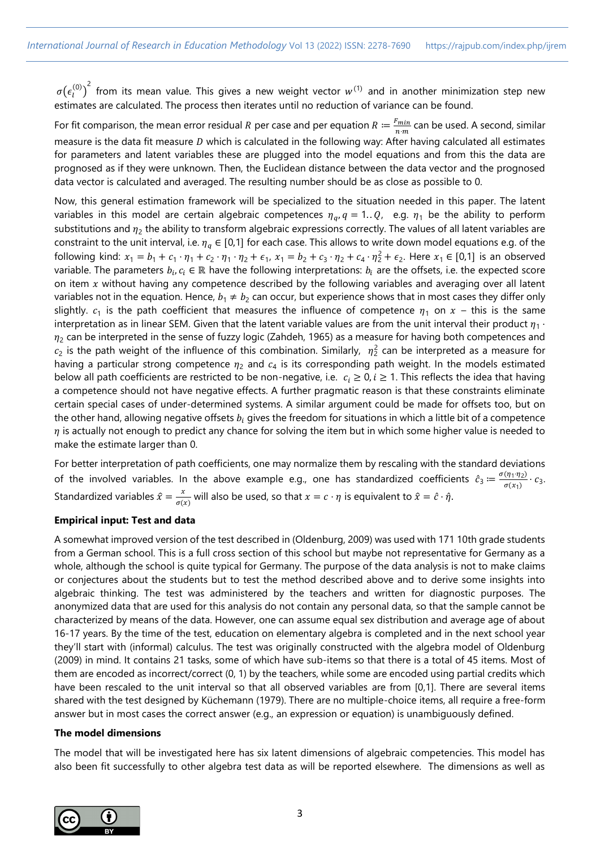$\sigma(\epsilon_l^{(0)})^2$  from its mean value. This gives a new weight vector  $w^{(1)}$  and in another minimization step new estimates are calculated. The process then iterates until no reduction of variance can be found.

For fit comparison, the mean error residual *R* per case and per equation  $R = \frac{F_{min}}{T_{min}}$  $\frac{r_{min}}{n \cdot m}$  can be used. A second, similar measure is the data fit measure  $D$  which is calculated in the following way: After having calculated all estimates for parameters and latent variables these are plugged into the model equations and from this the data are prognosed as if they were unknown. Then, the Euclidean distance between the data vector and the prognosed data vector is calculated and averaged. The resulting number should be as close as possible to 0.

Now, this general estimation framework will be specialized to the situation needed in this paper. The latent variables in this model are certain algebraic competences  $\eta_a$ ,  $q = 1..Q$ , e.g.  $\eta_1$  be the ability to perform substitutions and  $\eta_2$  the ability to transform algebraic expressions correctly. The values of all latent variables are constraint to the unit interval, i.e.  $\eta_q \in [0,1]$  for each case. This allows to write down model equations e.g. of the following kind:  $x_1 = b_1 + c_1 \cdot \eta_1 + c_2 \cdot \eta_1 \cdot \eta_2 + \epsilon_1$ ,  $x_1 = b_2 + c_3 \cdot \eta_2 + c_4 \cdot \eta_2^2 + \epsilon_2$ . Here  $x_1 \in [0,1]$  is an observed variable. The parameters  $b_i, c_i \in \mathbb{R}$  have the following interpretations:  $b_i$  are the offsets, i.e. the expected score on item  $x$  without having any competence described by the following variables and averaging over all latent variables not in the equation. Hence,  $b_1 \neq b_2$  can occur, but experience shows that in most cases they differ only slightly.  $c_1$  is the path coefficient that measures the influence of competence  $\eta_1$  on  $x$  – this is the same interpretation as in linear SEM. Given that the latent variable values are from the unit interval their product  $\eta_1$  ·  $\eta_2$  can be interpreted in the sense of fuzzy logic (Zahdeh, 1965) as a measure for having both competences and  $c_2$  is the path weight of the influence of this combination. Similarly,  $\eta_2^2$  can be interpreted as a measure for having a particular strong competence  $\eta_2$  and  $c_4$  is its corresponding path weight. In the models estimated below all path coefficients are restricted to be non-negative, i.e.  $c_i \ge 0$ ,  $i \ge 1$ . This reflects the idea that having a competence should not have negative effects. A further pragmatic reason is that these constraints eliminate certain special cases of under-determined systems. A similar argument could be made for offsets too, but on the other hand, allowing negative offsets  $b_i$  gives the freedom for situations in which a little bit of a competence  $\eta$  is actually not enough to predict any chance for solving the item but in which some higher value is needed to make the estimate larger than 0.

For better interpretation of path coefficients, one may normalize them by rescaling with the standard deviations of the involved variables. In the above example e.g., one has standardized coefficients  $\hat{c}_3 = \frac{\sigma(\eta_1 \cdot \eta_2)}{\sigma(\chi_1)}$  $\frac{(y_1 \cdot y_2)}{\sigma(x_1)} \cdot c_3.$ Standardized variables  $\hat{x} = \frac{x}{\sigma}$  $\frac{x}{\sigma(x)}$  will also be used, so that  $x = c \cdot \eta$  is equivalent to  $\hat{x} = \hat{c} \cdot \hat{\eta}$ .

### **Empirical input: Test and data**

A somewhat improved version of the test described in (Oldenburg, 2009) was used with 171 10th grade students from a German school. This is a full cross section of this school but maybe not representative for Germany as a whole, although the school is quite typical for Germany. The purpose of the data analysis is not to make claims or conjectures about the students but to test the method described above and to derive some insights into algebraic thinking. The test was administered by the teachers and written for diagnostic purposes. The anonymized data that are used for this analysis do not contain any personal data, so that the sample cannot be characterized by means of the data. However, one can assume equal sex distribution and average age of about 16-17 years. By the time of the test, education on elementary algebra is completed and in the next school year they'll start with (informal) calculus. The test was originally constructed with the algebra model of Oldenburg (2009) in mind. It contains 21 tasks, some of which have sub-items so that there is a total of 45 items. Most of them are encoded as incorrect/correct (0, 1) by the teachers, while some are encoded using partial credits which have been rescaled to the unit interval so that all observed variables are from [0,1]. There are several items shared with the test designed by Küchemann (1979). There are no multiple-choice items, all require a free-form answer but in most cases the correct answer (e.g., an expression or equation) is unambiguously defined.

### **The model dimensions**

The model that will be investigated here has six latent dimensions of algebraic competencies. This model has also been fit successfully to other algebra test data as will be reported elsewhere. The dimensions as well as

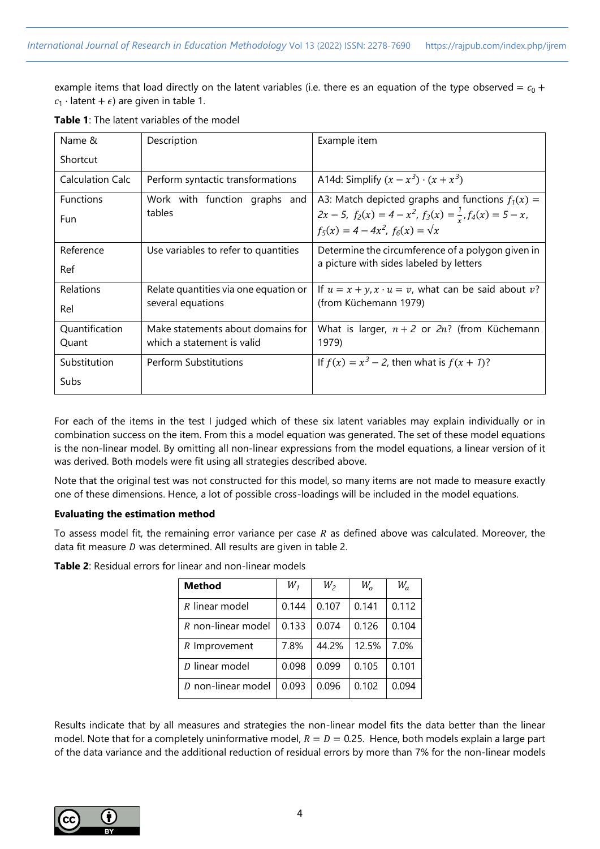example items that load directly on the latent variables (i.e. there es an equation of the type observed =  $c_0$  +  $c_1$  · latent +  $\epsilon$ ) are given in table 1.

| Name &                  | Description                                                     | Example item                                                                                                                                                             |
|-------------------------|-----------------------------------------------------------------|--------------------------------------------------------------------------------------------------------------------------------------------------------------------------|
| Shortcut                |                                                                 |                                                                                                                                                                          |
| <b>Calculation Calc</b> | Perform syntactic transformations                               | A14d: Simplify $(x - x^3) \cdot (x + x^3)$                                                                                                                               |
| <b>Functions</b><br>Fun | Work with function graphs and<br>tables                         | A3: Match depicted graphs and functions $f_1(x) =$<br>$2x-5$ , $f_2(x) = 4-x^2$ , $f_3(x) = \frac{1}{x}$ , $f_4(x) = 5-x$ ,<br>$f_5(x) = 4 - 4x^2$ , $f_6(x) = \sqrt{x}$ |
| Reference<br>Ref        | Use variables to refer to quantities                            | Determine the circumference of a polygon given in<br>a picture with sides labeled by letters                                                                             |
| Relations<br>Rel        | Relate quantities via one equation or<br>several equations      | If $u = x + y$ , $x \cdot u = v$ , what can be said about v?<br>(from Küchemann 1979)                                                                                    |
| Quantification<br>Quant | Make statements about domains for<br>which a statement is valid | What is larger, $n + 2$ or $2n$ ? (from Küchemann<br>1979)                                                                                                               |
| Substitution<br>Subs    | Perform Substitutions                                           | If $f(x) = x^3 - 2$ , then what is $f(x + 1)$ ?                                                                                                                          |
|                         |                                                                 |                                                                                                                                                                          |

**Table 1**: The latent variables of the model

For each of the items in the test I judged which of these six latent variables may explain individually or in combination success on the item. From this a model equation was generated. The set of these model equations is the non-linear model. By omitting all non-linear expressions from the model equations, a linear version of it was derived. Both models were fit using all strategies described above.

Note that the original test was not constructed for this model, so many items are not made to measure exactly one of these dimensions. Hence, a lot of possible cross-loadings will be included in the model equations.

### **Evaluating the estimation method**

To assess model fit, the remaining error variance per case  $R$  as defined above was calculated. Moreover, the data fit measure  $D$  was determined. All results are given in table 2.

| <b>Method</b>      | $W_1$ | $W_2$ | $W_{\alpha}$ | $W_a$ |
|--------------------|-------|-------|--------------|-------|
| $R$ linear model   | 0.144 | 0.107 | 0.141        | 0.112 |
| R non-linear model | 0.133 | 0.074 | 0.126        | 0.104 |
| R Improvement      | 7.8%  | 44.2% | 12.5%        | 7.0%  |
| D linear model     | 0.098 | 0.099 | 0.105        | 0.101 |
| D non-linear model | 0.093 | 0.096 | 0.102        | 0.094 |

**Table 2**: Residual errors for linear and non-linear models

Results indicate that by all measures and strategies the non-linear model fits the data better than the linear model. Note that for a completely uninformative model,  $R = D = 0.25$ . Hence, both models explain a large part of the data variance and the additional reduction of residual errors by more than 7% for the non-linear models

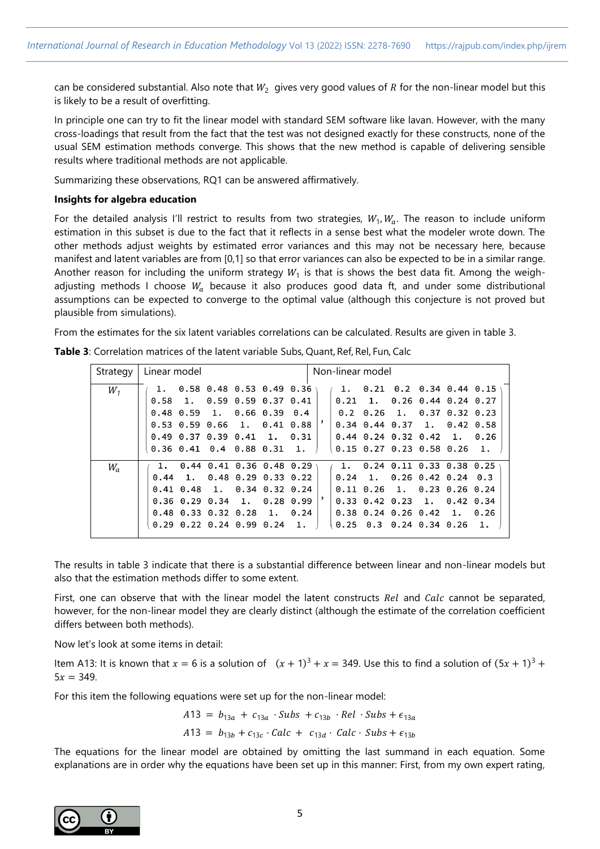can be considered substantial. Also note that  $W_2\,$  gives very good values of R for the non-linear model but this is likely to be a result of overfitting.

In principle one can try to fit the linear model with standard SEM software like lavan. However, with the many cross-loadings that result from the fact that the test was not designed exactly for these constructs, none of the usual SEM estimation methods converge. This shows that the new method is capable of delivering sensible results where traditional methods are not applicable.

Summarizing these observations, RQ1 can be answered affirmatively.

#### **Insights for algebra education**

For the detailed analysis I'll restrict to results from two strategies,  $W_1, W_a$ . The reason to include uniform estimation in this subset is due to the fact that it reflects in a sense best what the modeler wrote down. The other methods adjust weights by estimated error variances and this may not be necessary here, because manifest and latent variables are from [0,1] so that error variances can also be expected to be in a similar range. Another reason for including the uniform strategy  $W_1$  is that is shows the best data fit. Among the weighadjusting methods I choose  $W_a$  because it also produces good data ft, and under some distributional assumptions can be expected to converge to the optimal value (although this conjecture is not proved but plausible from simulations).

From the estimates for the six latent variables correlations can be calculated. Results are given in table 3.

| Strategy | Linear model |  |                                       |    | Non-linear model |  |                                                             |                                   |  |
|----------|--------------|--|---------------------------------------|----|------------------|--|-------------------------------------------------------------|-----------------------------------|--|
| $W_1$    |              |  | 1. $0.58$ 0.48 0.53 0.49 0.36         |    | 1.               |  |                                                             | $0.21$ $0.2$ $0.34$ $0.44$ $0.15$ |  |
|          |              |  | $0.58$ 1. 0.59 0.59 0.37 0.41         |    |                  |  | $0.21 \quad 1. \quad 0.26 \quad 0.44 \quad 0.24 \quad 0.27$ |                                   |  |
|          |              |  | $0.48$ $0.59$ 1. 0.66 0.39 0.4        |    |                  |  | $0.2$ 0.26 1, 0.37 0.32 0.23                                |                                   |  |
|          |              |  | $0.53$ $0.59$ $0.66$ 1, $0.41$ $0.88$ |    |                  |  | $0.34$ $0.44$ $0.37$ 1, $0.42$ $0.58$                       |                                   |  |
|          |              |  | $0.49$ $0.37$ $0.39$ $0.41$ 1. $0.31$ |    |                  |  | $0.44$ $0.24$ $0.32$ $0.42$ 1, 0.26                         |                                   |  |
|          |              |  | $0.36$ $0.41$ $0.4$ $0.88$ $0.31$ 1.  |    |                  |  | $0.15$ 0.27 0.23 0.58 0.26 1.                               |                                   |  |
| $W_a$    | 1.           |  | $0.44$ $0.41$ $0.36$ $0.48$ $0.29$    |    | 1.               |  | $0.24$ $0.11$ $0.33$ $0.38$ $0.25$                          |                                   |  |
|          |              |  | $0.44$ 1, $0.48$ 0.29 0.33 0.22       |    |                  |  | $0.24$ 1, 0.26 0.42 0.24 0.3                                |                                   |  |
|          |              |  | $0.41$ $0.48$ 1, $0.34$ $0.32$ $0.24$ |    |                  |  | $0.11$ $0.26$ 1, $0.23$ $0.26$ $0.24$                       |                                   |  |
|          |              |  | $0.36$ $0.29$ $0.34$ 1, $0.28$ $0.99$ |    |                  |  | $0.33$ $0.42$ $0.23$ 1, $0.42$ $0.34$                       |                                   |  |
|          |              |  | $0.48$ $0.33$ $0.32$ $0.28$ 1. $0.24$ |    |                  |  | $0.38$ $0.24$ $0.26$ $0.42$ 1. $0.26$                       |                                   |  |
|          |              |  | $0.29$ 0.22 0.24 0.99 0.24            | 1. |                  |  | $0.25$ 0.3 0.24 0.34 0.26 1.                                |                                   |  |
|          |              |  |                                       |    |                  |  |                                                             |                                   |  |

**Table 3**: Correlation matrices of the latent variable Subs, Quant, Ref, Rel, Fun, Calc

The results in table 3 indicate that there is a substantial difference between linear and non-linear models but also that the estimation methods differ to some extent.

First, one can observe that with the linear model the latent constructs Rel and Calc cannot be separated, however, for the non-linear model they are clearly distinct (although the estimate of the correlation coefficient differs between both methods).

Now let's look at some items in detail:

Item A13: It is known that  $x = 6$  is a solution of  $(x + 1)^3 + x = 349$ . Use this to find a solution of  $(5x + 1)^3 +$  $5x = 349.$ 

For this item the following equations were set up for the non-linear model:

 $A13 = b_{13a} + c_{13a} \cdot Subs + c_{13b} \cdot Rel \cdot Subs + \epsilon_{13a}$  $A13 = b_{13b} + c_{13c} \cdot \text{Calc} + c_{13d} \cdot \text{Calc} \cdot \text{Subs} + \epsilon_{13b}$ 

The equations for the linear model are obtained by omitting the last summand in each equation. Some explanations are in order why the equations have been set up in this manner: First, from my own expert rating,

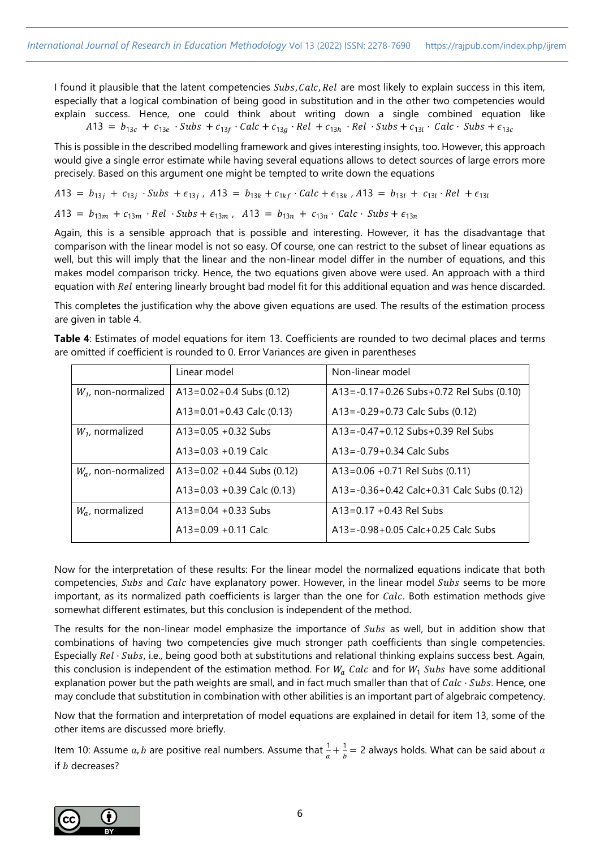I found it plausible that the latent competencies Subs, Calc, Rel are most likely to explain success in this item, especially that a logical combination of being good in substitution and in the other two competencies would explain success. Hence, one could think about writing down a single combined equation like  $A13 = b_{13c} + c_{13e} \cdot Subs + c_{13f} \cdot Calc + c_{13g} \cdot Rel + c_{13h} \cdot Rel \cdot Subs + c_{13i} \cdot Calc \cdot Subs + c_{13c}$ 

This is possible in the described modelling framework and gives interesting insights, too. However, this approach would give a single error estimate while having several equations allows to detect sources of large errors more precisely. Based on this argument one might be tempted to write down the equations

$$
A13 = b_{13j} + c_{13j} \cdot Subs + \epsilon_{13j}, \quad A13 = b_{13k} + c_{1kf} \cdot Calc + \epsilon_{13k}, \quad A13 = b_{13l} + c_{13l} \cdot Rel + \epsilon_{13l}
$$
\n
$$
A13 = b_{13m} + c_{13m} \cdot Rel \cdot Subs + \epsilon_{13m}, \quad A13 = b_{13n} + c_{13n} \cdot Calc \cdot Subs + \epsilon_{13n}
$$

Again, this is a sensible approach that is possible and interesting. However, it has the disadvantage that comparison with the linear model is not so easy. Of course, one can restrict to the subset of linear equations as well, but this will imply that the linear and the non-linear model differ in the number of equations, and this makes model comparison tricky. Hence, the two equations given above were used. An approach with a third equation with Rel entering linearly brought bad model fit for this additional equation and was hence discarded.

This completes the justification why the above given equations are used. The results of the estimation process are given in table 4.

**Table 4**: Estimates of model equations for item 13. Coefficients are rounded to two decimal places and terms are omitted if coefficient is rounded to 0. Error Variances are given in parentheses

|                        | Linear model                  | Non-linear model                                |
|------------------------|-------------------------------|-------------------------------------------------|
| $W_1$ , non-normalized | $A13=0.02+0.4$ Subs (0.12)    | A13=-0.17+0.26 Subs+0.72 Rel Subs (0.10)        |
|                        | $A13=0.01+0.43$ Calc (0.13)   | $A13 = -0.29 + 0.73$ Calc Subs (0.12)           |
| $W_1$ , normalized     | $A13=0.05 + 0.32$ Subs        | A13 = -0.47 + 0.12 Subs + 0.39 Rel Subs         |
|                        | $A13=0.03 + 0.19$ Calc        | $A13 = -0.79 + 0.34$ Calc Subs                  |
| $W_a$ , non-normalized | $A13=0.02 + 0.44$ Subs (0.12) | $A13=0.06 + 0.71$ Rel Subs (0.11)               |
|                        | A13=0.03 +0.39 Calc $(0.13)$  | A13 = -0.36 + 0.42 Calc + 0.31 Calc Subs (0.12) |
| $W_a$ , normalized     | $A13=0.04 + 0.33$ Subs        | $A13=0.17 + 0.43$ Rel Subs                      |
|                        | $A13=0.09 + 0.11$ Calc        | A13 = -0.98 + 0.05 Calc + 0.25 Calc Subs        |

Now for the interpretation of these results: For the linear model the normalized equations indicate that both competencies, Subs and Calc have explanatory power. However, in the linear model Subs seems to be more important, as its normalized path coefficients is larger than the one for Calc. Both estimation methods give somewhat different estimates, but this conclusion is independent of the method.

The results for the non-linear model emphasize the importance of Subs as well, but in addition show that combinations of having two competencies give much stronger path coefficients than single competencies. Especially Rel · Subs, i.e., being good both at substitutions and relational thinking explains success best. Again, this conclusion is independent of the estimation method. For  $W_a$  Calc and for  $W_1$  Subs have some additional explanation power but the path weights are small, and in fact much smaller than that of  $Calc \cdot Subs$ . Hence, one may conclude that substitution in combination with other abilities is an important part of algebraic competency.

Now that the formation and interpretation of model equations are explained in detail for item 13, some of the other items are discussed more briefly.

Item 10: Assume  $a, b$  are positive real numbers. Assume that  $\frac{1}{a} + \frac{1}{b}$  $\frac{1}{b}$  = 2 always holds. What can be said about  $a$ if  $b$  decreases?

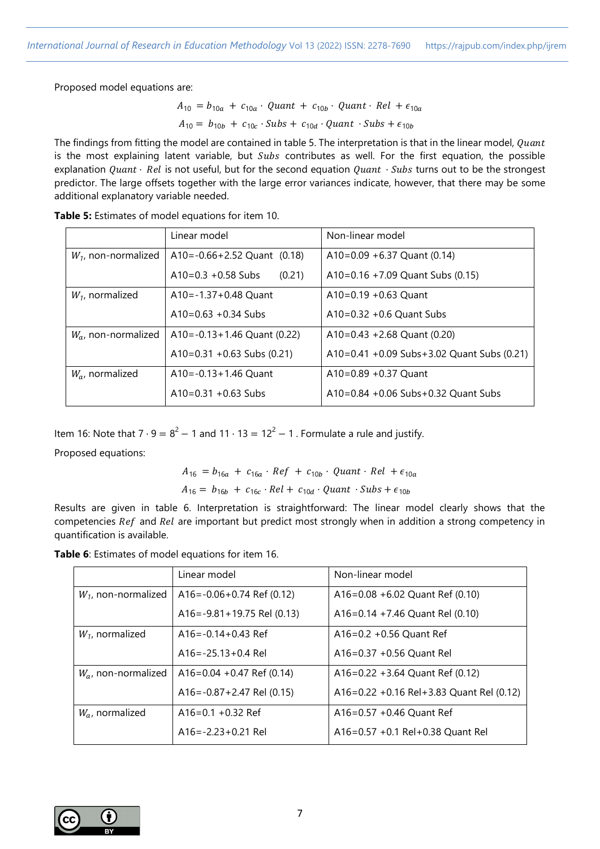Proposed model equations are:

 $A_{10} = b_{10a} + c_{10a} \cdot$  Quant +  $c_{10b} \cdot$  Quant  $\cdot$  Rel +  $\epsilon_{10a}$  $A_{10} = b_{10b} + c_{10c} \cdot Subs + c_{10d} \cdot Quant \cdot Subs + \epsilon_{10b}$ 

The findings from fitting the model are contained in table 5. The interpretation is that in the linear model, Quant is the most explaining latent variable, but  $Subs$  contributes as well. For the first equation, the possible explanation  $Quant \cdot Rel$  is not useful, but for the second equation  $Quant \cdot Subs$  turns out to be the strongest predictor. The large offsets together with the large error variances indicate, however, that there may be some additional explanatory variable needed.

|                         | Linear model                      | Non-linear model                           |  |  |
|-------------------------|-----------------------------------|--------------------------------------------|--|--|
| $W_1$ , non-normalized  | A10= $-0.66 + 2.52$ Quant (0.18)  | A10=0.09 +6.37 Quant (0.14)                |  |  |
|                         | $A10=0.3 + 0.58$ Subs<br>(0.21)   | A10=0.16 +7.09 Quant Subs $(0.15)$         |  |  |
| $W_1$ , normalized      | A10=-1.37+0.48 Quant              | $A10=0.19 + 0.63$ Ouant                    |  |  |
|                         | $A10=0.63 + 0.34$ Subs            | $A10=0.32 + 0.6$ Quant Subs                |  |  |
| $W_{ai}$ non-normalized | A10 = $-0.13 + 1.46$ Quant (0.22) | A10=0.43 +2.68 Quant (0.20)                |  |  |
|                         | A10=0.31 +0.63 Subs $(0.21)$      | A10=0.41 +0.09 Subs+3.02 Quant Subs (0.21) |  |  |
| $W_a$ , normalized      | A10= $-0.13+1.46$ Quant           | $A10=0.89 + 0.37$ Ouant                    |  |  |
|                         | $A10=0.31 + 0.63$ Subs            | A10=0.84 +0.06 Subs+0.32 Quant Subs        |  |  |

**Table 5:** Estimates of model equations for item 10.

Item 16: Note that  $7 \cdot 9 = 8^2 - 1$  and  $11 \cdot 13 = 12^2 - 1$ . Formulate a rule and justify.

Proposed equations:

$$
A_{16} = b_{16a} + c_{16a} \cdot Ref + c_{10b} \cdot Quant \cdot Rel + \epsilon_{10a}
$$
  

$$
A_{16} = b_{16b} + c_{16c} \cdot Rel + c_{10d} \cdot Quant \cdot Subs + \epsilon_{10b}
$$

Results are given in table 6. Interpretation is straightforward: The linear model clearly shows that the competencies Ref and Rel are important but predict most strongly when in addition a strong competency in quantification is available.

| Table 6: Estimates of model equations for item 16. |
|----------------------------------------------------|
|----------------------------------------------------|

|                        | Linear model                     | Non-linear model                         |
|------------------------|----------------------------------|------------------------------------------|
| $W_1$ , non-normalized | $A16 = -0.06 + 0.74$ Ref (0.12)  | A16=0.08 +6.02 Quant Ref $(0.10)$        |
|                        | A16 = $-9.81 + 19.75$ Rel (0.13) | A16=0.14 +7.46 Quant Rel $(0.10)$        |
| $W_1$ , normalized     | $A16 = -0.14 + 0.43$ Ref         | $A16=0.2 + 0.56$ Quant Ref               |
|                        | $A16 = -25.13 + 0.4$ Rel         | A16=0.37 +0.56 Quant Rel                 |
| $W_a$ , non-normalized | $A16=0.04 + 0.47$ Ref (0.14)     | A16=0.22 +3.64 Quant Ref $(0.12)$        |
|                        | $A16 = -0.87 + 2.47$ Rel (0.15)  | A16=0.22 +0.16 Rel+3.83 Quant Rel (0.12) |
| $W_a$ , normalized     | $A16=0.1 + 0.32$ Ref             | $A16=0.57 + 0.46$ Quant Ref              |
|                        | $A16 = -2.23 + 0.21$ Rel         | A16=0.57 +0.1 Rel+0.38 Quant Rel         |

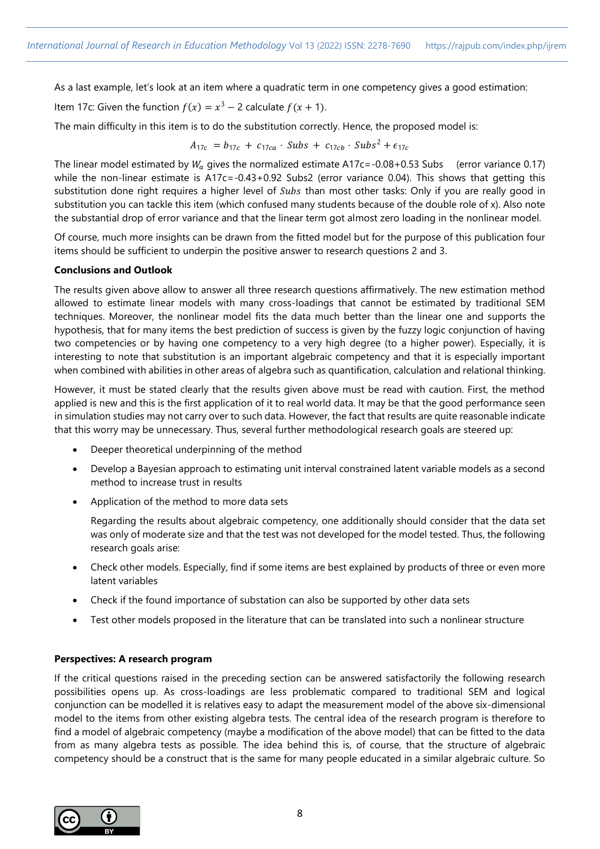As a last example, let's look at an item where a quadratic term in one competency gives a good estimation:

Item 17c: Given the function 
$$
f(x) = x^3 - 2
$$
 calculate  $f(x + 1)$ .

The main difficulty in this item is to do the substitution correctly. Hence, the proposed model is:

$$
A_{17c} = b_{17c} + c_{17ca} \cdot Subs + c_{17cb} \cdot Subs^2 + \epsilon_{17c}
$$

The linear model estimated by  $W_a$  gives the normalized estimate A17c=-0.08+0.53 Subs (error variance 0.17) while the non-linear estimate is A17c=-0.43+0.92 Subs2 (error variance 0.04). This shows that getting this substitution done right requires a higher level of Subs than most other tasks: Only if you are really good in substitution you can tackle this item (which confused many students because of the double role of x). Also note the substantial drop of error variance and that the linear term got almost zero loading in the nonlinear model.

Of course, much more insights can be drawn from the fitted model but for the purpose of this publication four items should be sufficient to underpin the positive answer to research questions 2 and 3.

### **Conclusions and Outlook**

The results given above allow to answer all three research questions affirmatively. The new estimation method allowed to estimate linear models with many cross-loadings that cannot be estimated by traditional SEM techniques. Moreover, the nonlinear model fits the data much better than the linear one and supports the hypothesis, that for many items the best prediction of success is given by the fuzzy logic conjunction of having two competencies or by having one competency to a very high degree (to a higher power). Especially, it is interesting to note that substitution is an important algebraic competency and that it is especially important when combined with abilities in other areas of algebra such as quantification, calculation and relational thinking.

However, it must be stated clearly that the results given above must be read with caution. First, the method applied is new and this is the first application of it to real world data. It may be that the good performance seen in simulation studies may not carry over to such data. However, the fact that results are quite reasonable indicate that this worry may be unnecessary. Thus, several further methodological research goals are steered up:

- Deeper theoretical underpinning of the method
- Develop a Bayesian approach to estimating unit interval constrained latent variable models as a second method to increase trust in results
- Application of the method to more data sets

Regarding the results about algebraic competency, one additionally should consider that the data set was only of moderate size and that the test was not developed for the model tested. Thus, the following research goals arise:

- Check other models. Especially, find if some items are best explained by products of three or even more latent variables
- Check if the found importance of substation can also be supported by other data sets
- Test other models proposed in the literature that can be translated into such a nonlinear structure

### **Perspectives: A research program**

If the critical questions raised in the preceding section can be answered satisfactorily the following research possibilities opens up. As cross-loadings are less problematic compared to traditional SEM and logical conjunction can be modelled it is relatives easy to adapt the measurement model of the above six-dimensional model to the items from other existing algebra tests. The central idea of the research program is therefore to find a model of algebraic competency (maybe a modification of the above model) that can be fitted to the data from as many algebra tests as possible. The idea behind this is, of course, that the structure of algebraic competency should be a construct that is the same for many people educated in a similar algebraic culture. So

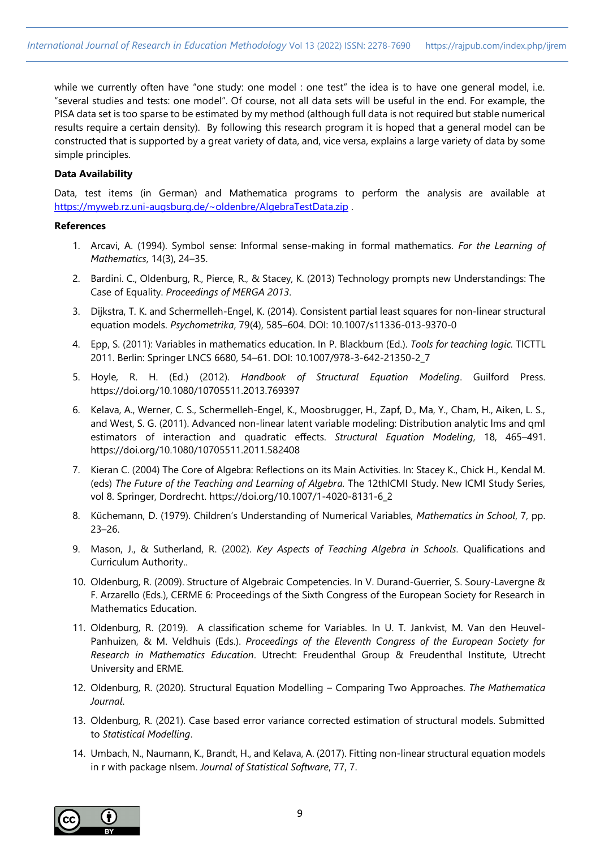while we currently often have "one study: one model : one test" the idea is to have one general model, i.e. "several studies and tests: one model". Of course, not all data sets will be useful in the end. For example, the PISA data set is too sparse to be estimated by my method (although full data is not required but stable numerical results require a certain density). By following this research program it is hoped that a general model can be constructed that is supported by a great variety of data, and, vice versa, explains a large variety of data by some simple principles.

# **Data Availability**

Data, test items (in German) and Mathematica programs to perform the analysis are available at <https://myweb.rz.uni-augsburg.de/~oldenbre/AlgebraTestData.zip> .

### **References**

- 1. Arcavi, A. (1994). Symbol sense: Informal sense-making in formal mathematics. *For the Learning of Mathematics*, 14(3), 24–35.
- 2. Bardini. C., Oldenburg, R., Pierce, R., & Stacey, K. (2013) Technology prompts new Understandings: The Case of Equality. *Proceedings of MERGA 2013*.
- 3. Dijkstra, T. K. and Schermelleh-Engel, K. (2014). Consistent partial least squares for non-linear structural equation models. *Psychometrika*, 79(4), 585–604. DOI: 10.1007/s11336-013-9370-0
- 4. Epp, S. (2011): Variables in mathematics education. In P. Blackburn (Ed.). *Tools for teaching logic.* TICTTL 2011. Berlin: Springer LNCS 6680, 54–61. DOI: 10.1007/978-3-642-21350-2\_7
- 5. Hoyle, R. H. (Ed.) (2012). *Handbook of Structural Equation Modeling*. Guilford Press. https://doi.org/10.1080/10705511.2013.769397
- 6. Kelava, A., Werner, C. S., Schermelleh-Engel, K., Moosbrugger, H., Zapf, D., Ma, Y., Cham, H., Aiken, L. S., and West, S. G. (2011). Advanced non-linear latent variable modeling: Distribution analytic lms and qml estimators of interaction and quadratic effects. *Structural Equation Modeling*, 18, 465–491. https://doi.org/10.1080/10705511.2011.582408
- 7. Kieran C. (2004) The Core of Algebra: Reflections on its Main Activities. In: Stacey K., Chick H., Kendal M. (eds) *The Future of the Teaching and Learning of Algebra.* The 12thICMI Study. New ICMI Study Series, vol 8. Springer, Dordrecht. [https://doi.org/10.1007/1-4020-8131-6\\_2](https://doi.org/10.1007/1-4020-8131-6_2)
- 8. Küchemann, D. (1979). Children's Understanding of Numerical Variables, *Mathematics in School*, 7, pp. 23–26.
- 9. Mason, J., & Sutherland, R. (2002). *Key Aspects of Teaching Algebra in Schools.* Qualifications and Curriculum Authority..
- 10. Oldenburg, R. (2009). Structure of Algebraic Competencies. In V. Durand-Guerrier, S. Soury-Lavergne & F. Arzarello (Eds.), CERME 6: Proceedings of the Sixth Congress of the European Society for Research in Mathematics Education.
- 11. Oldenburg, R. (2019). A classification scheme for Variables. In U. T. Jankvist, M. Van den Heuvel-Panhuizen, & M. Veldhuis (Eds.). *Proceedings of the Eleventh Congress of the European Society for Research in Mathematics Education*. Utrecht: Freudenthal Group & Freudenthal Institute, Utrecht University and ERME.
- 12. Oldenburg, R. (2020). Structural Equation Modelling Comparing Two Approaches. *The Mathematica Journal*.
- 13. Oldenburg, R. (2021). Case based error variance corrected estimation of structural models. Submitted to *Statistical Modelling*.
- 14. Umbach, N., Naumann, K., Brandt, H., and Kelava, A. (2017). Fitting non-linear structural equation models in r with package nlsem. *Journal of Statistical Software*, 77, 7.